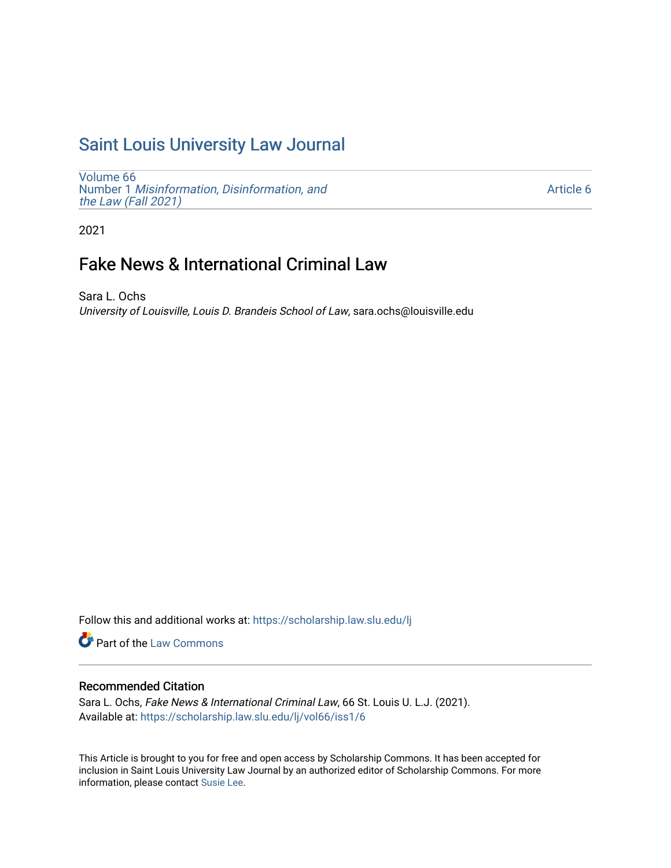# [Saint Louis University Law Journal](https://scholarship.law.slu.edu/lj)

[Volume 66](https://scholarship.law.slu.edu/lj/vol66) Number 1 [Misinformation, Disinformation, and](https://scholarship.law.slu.edu/lj/vol66/iss1)  [the Law \(Fall 2021\)](https://scholarship.law.slu.edu/lj/vol66/iss1)

[Article 6](https://scholarship.law.slu.edu/lj/vol66/iss1/6) 

2021

# Fake News & International Criminal Law

Sara L. Ochs University of Louisville, Louis D. Brandeis School of Law, sara.ochs@louisville.edu

Follow this and additional works at: [https://scholarship.law.slu.edu/lj](https://scholarship.law.slu.edu/lj?utm_source=scholarship.law.slu.edu%2Flj%2Fvol66%2Fiss1%2F6&utm_medium=PDF&utm_campaign=PDFCoverPages) 

Part of the [Law Commons](http://network.bepress.com/hgg/discipline/578?utm_source=scholarship.law.slu.edu%2Flj%2Fvol66%2Fiss1%2F6&utm_medium=PDF&utm_campaign=PDFCoverPages)

# Recommended Citation

Sara L. Ochs, Fake News & International Criminal Law, 66 St. Louis U. L.J. (2021). Available at: [https://scholarship.law.slu.edu/lj/vol66/iss1/6](https://scholarship.law.slu.edu/lj/vol66/iss1/6?utm_source=scholarship.law.slu.edu%2Flj%2Fvol66%2Fiss1%2F6&utm_medium=PDF&utm_campaign=PDFCoverPages) 

This Article is brought to you for free and open access by Scholarship Commons. It has been accepted for inclusion in Saint Louis University Law Journal by an authorized editor of Scholarship Commons. For more information, please contact [Susie Lee](mailto:susie.lee@slu.edu).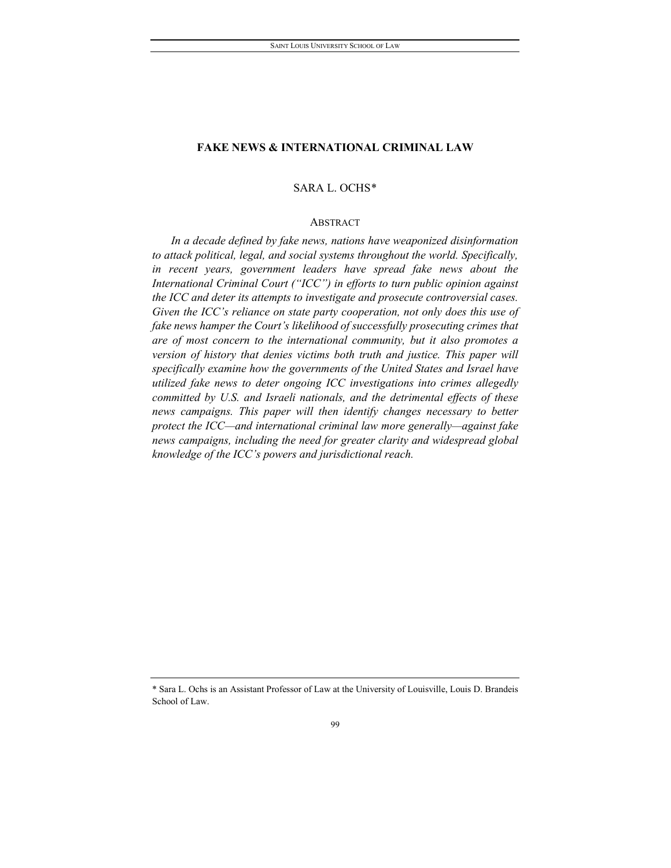# SARA L. OCHS[\\*](#page-1-0)

### ABSTRACT

*In a decade defined by fake news, nations have weaponized disinformation to attack political, legal, and social systems throughout the world. Specifically,*  in recent years, government leaders have spread fake news about the *International Criminal Court ("ICC") in efforts to turn public opinion against the ICC and deter its attempts to investigate and prosecute controversial cases. Given the ICC's reliance on state party cooperation, not only does this use of fake news hamper the Court's likelihood of successfully prosecuting crimes that are of most concern to the international community, but it also promotes a version of history that denies victims both truth and justice. This paper will specifically examine how the governments of the United States and Israel have utilized fake news to deter ongoing ICC investigations into crimes allegedly committed by U.S. and Israeli nationals, and the detrimental effects of these news campaigns. This paper will then identify changes necessary to better protect the ICC—and international criminal law more generally—against fake news campaigns, including the need for greater clarity and widespread global knowledge of the ICC's powers and jurisdictional reach.*

<span id="page-1-0"></span><sup>\*</sup> Sara L. Ochs is an Assistant Professor of Law at the University of Louisville, Louis D. Brandeis School of Law.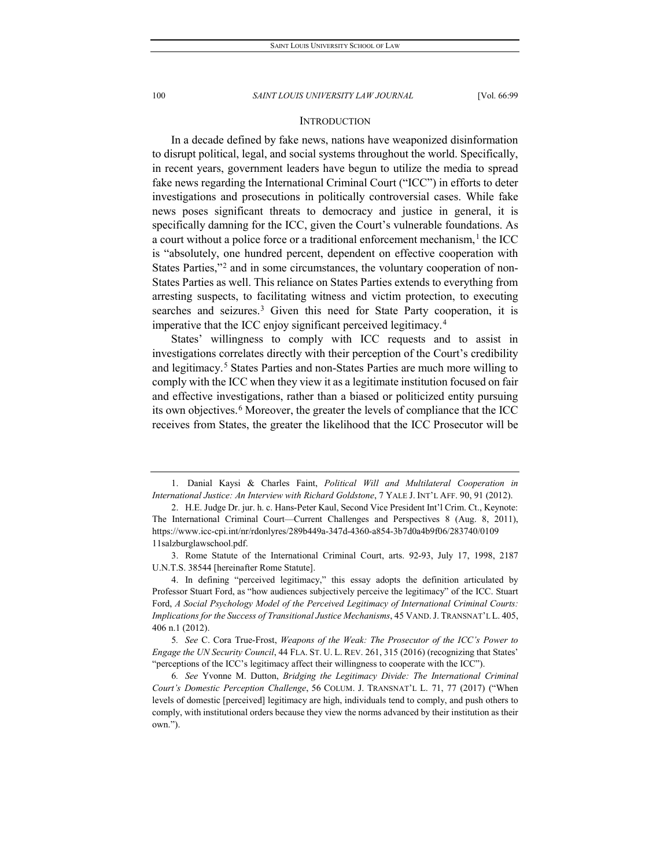## **INTRODUCTION**

In a decade defined by fake news, nations have weaponized disinformation to disrupt political, legal, and social systems throughout the world. Specifically, in recent years, government leaders have begun to utilize the media to spread fake news regarding the International Criminal Court ("ICC") in efforts to deter investigations and prosecutions in politically controversial cases. While fake news poses significant threats to democracy and justice in general, it is specifically damning for the ICC, given the Court's vulnerable foundations. As a court without a police force or a traditional enforcement mechanism, $<sup>1</sup>$  $<sup>1</sup>$  $<sup>1</sup>$  the ICC</sup> is "absolutely, one hundred percent, dependent on effective cooperation with States Parties,"<sup>[2](#page-2-1)</sup> and in some circumstances, the voluntary cooperation of non-States Parties as well. This reliance on States Parties extends to everything from arresting suspects, to facilitating witness and victim protection, to executing searches and seizures.<sup>[3](#page-2-2)</sup> Given this need for State Party cooperation, it is imperative that the ICC enjoy significant perceived legitimacy.[4](#page-2-3)

States' willingness to comply with ICC requests and to assist in investigations correlates directly with their perception of the Court's credibility and legitimacy.<sup>[5](#page-2-4)</sup> States Parties and non-States Parties are much more willing to comply with the ICC when they view it as a legitimate institution focused on fair and effective investigations, rather than a biased or politicized entity pursuing its own objectives.<sup>[6](#page-2-5)</sup> Moreover, the greater the levels of compliance that the ICC receives from States, the greater the likelihood that the ICC Prosecutor will be

<span id="page-2-0"></span><sup>1.</sup> Danial Kaysi & Charles Faint, *Political Will and Multilateral Cooperation in International Justice: An Interview with Richard Goldstone*, 7 YALE J. INT'L AFF. 90, 91 (2012).

<span id="page-2-1"></span><sup>2.</sup> H.E. Judge Dr. jur. h. c. Hans-Peter Kaul, Second Vice President Int'l Crim. Ct., Keynote: The International Criminal Court—Current Challenges and Perspectives 8 (Aug. 8, 2011), https://www.icc-cpi.int/nr/rdonlyres/289b449a-347d-4360-a854-3b7d0a4b9f06/283740/0109 11salzburglawschool.pdf.

<span id="page-2-2"></span><sup>3.</sup> Rome Statute of the International Criminal Court, arts. 92-93, July 17, 1998, 2187 U.N.T.S. 38544 [hereinafter Rome Statute].

<span id="page-2-3"></span><sup>4.</sup> In defining "perceived legitimacy," this essay adopts the definition articulated by Professor Stuart Ford, as "how audiences subjectively perceive the legitimacy" of the ICC. Stuart Ford, *A Social Psychology Model of the Perceived Legitimacy of International Criminal Courts: Implications for the Success of Transitional Justice Mechanisms*, 45 VAND.J. TRANSNAT'L L. 405, 406 n.1 (2012).

<span id="page-2-4"></span><sup>5</sup>*. See* C. Cora True-Frost, *Weapons of the Weak: The Prosecutor of the ICC's Power to Engage the UN Security Council*, 44 FLA. ST. U. L. REV. 261, 315 (2016) (recognizing that States' "perceptions of the ICC's legitimacy affect their willingness to cooperate with the ICC").

<span id="page-2-5"></span><sup>6</sup>*. See* Yvonne M. Dutton, *Bridging the Legitimacy Divide: The International Criminal Court's Domestic Perception Challenge*, 56 COLUM. J. TRANSNAT'L L. 71, 77 (2017) ("When levels of domestic [perceived] legitimacy are high, individuals tend to comply, and push others to comply, with institutional orders because they view the norms advanced by their institution as their own.").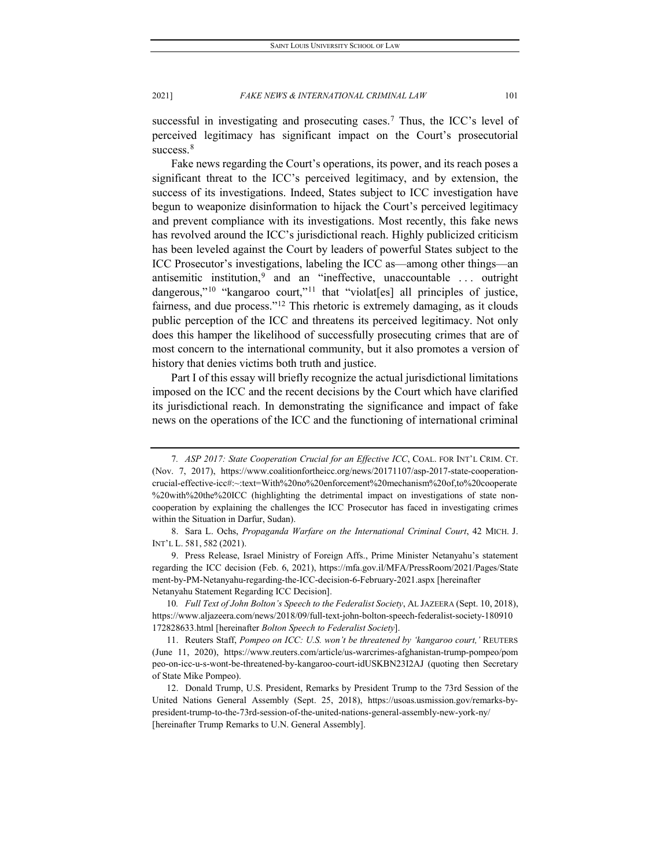successful in investigating and prosecuting cases.<sup>7</sup> Thus, the ICC's level of perceived legitimacy has significant impact on the Court's prosecutorial success.<sup>[8](#page-3-1)</sup>

Fake news regarding the Court's operations, its power, and its reach poses a significant threat to the ICC's perceived legitimacy, and by extension, the success of its investigations. Indeed, States subject to ICC investigation have begun to weaponize disinformation to hijack the Court's perceived legitimacy and prevent compliance with its investigations. Most recently, this fake news has revolved around the ICC's jurisdictional reach. Highly publicized criticism has been leveled against the Court by leaders of powerful States subject to the ICC Prosecutor's investigations, labeling the ICC as—among other things—an antisemitic institution,<sup>[9](#page-3-2)</sup> and an "ineffective, unaccountable ... outright dangerous,"<sup>[10](#page-3-3)</sup> "kangaroo court,"<sup>[11](#page-3-4)</sup> that "violat[es] all principles of justice, fairness, and due process."[12](#page-3-5) This rhetoric is extremely damaging, as it clouds public perception of the ICC and threatens its perceived legitimacy. Not only does this hamper the likelihood of successfully prosecuting crimes that are of most concern to the international community, but it also promotes a version of history that denies victims both truth and justice.

Part I of this essay will briefly recognize the actual jurisdictional limitations imposed on the ICC and the recent decisions by the Court which have clarified its jurisdictional reach. In demonstrating the significance and impact of fake news on the operations of the ICC and the functioning of international criminal

<span id="page-3-3"></span>10*. Full Text of John Bolton's Speech to the Federalist Society*, AL JAZEERA (Sept. 10, 2018), https://www.aljazeera.com/news/2018/09/full-text-john-bolton-speech-federalist-society-180910 172828633.html [hereinafter *Bolton Speech to Federalist Society*].

<span id="page-3-0"></span><sup>7</sup>*. ASP 2017: State Cooperation Crucial for an Effective ICC*, COAL. FOR INT'L CRIM. CT. (Nov. 7, 2017), https://www.coalitionfortheicc.org/news/20171107/asp-2017-state-cooperationcrucial-effective-icc#:~:text=With%20no%20enforcement%20mechanism%20of,to%20cooperate %20with%20the%20ICC (highlighting the detrimental impact on investigations of state noncooperation by explaining the challenges the ICC Prosecutor has faced in investigating crimes within the Situation in Darfur, Sudan).

<span id="page-3-1"></span><sup>8.</sup> Sara L. Ochs, *Propaganda Warfare on the International Criminal Court*, 42 MICH. J. INT'L L. 581, 582 (2021).

<span id="page-3-2"></span><sup>9.</sup> Press Release, Israel Ministry of Foreign Affs., Prime Minister Netanyahu's statement regarding the ICC decision (Feb. 6, 2021), https://mfa.gov.il/MFA/PressRoom/2021/Pages/State ment-by-PM-Netanyahu-regarding-the-ICC-decision-6-February-2021.aspx [hereinafter Netanyahu Statement Regarding ICC Decision].

<span id="page-3-4"></span><sup>11.</sup> Reuters Staff, *Pompeo on ICC: U.S. won't be threatened by 'kangaroo court,'* REUTERS (June 11, 2020), https://www.reuters.com/article/us-warcrimes-afghanistan-trump-pompeo/pom peo-on-icc-u-s-wont-be-threatened-by-kangaroo-court-idUSKBN23I2AJ (quoting then Secretary of State Mike Pompeo).

<span id="page-3-5"></span><sup>12.</sup> Donald Trump, U.S. President, Remarks by President Trump to the 73rd Session of the United Nations General Assembly (Sept. 25, 2018), https://usoas.usmission.gov/remarks-bypresident-trump-to-the-73rd-session-of-the-united-nations-general-assembly-new-york-ny/ [hereinafter Trump Remarks to U.N. General Assembly].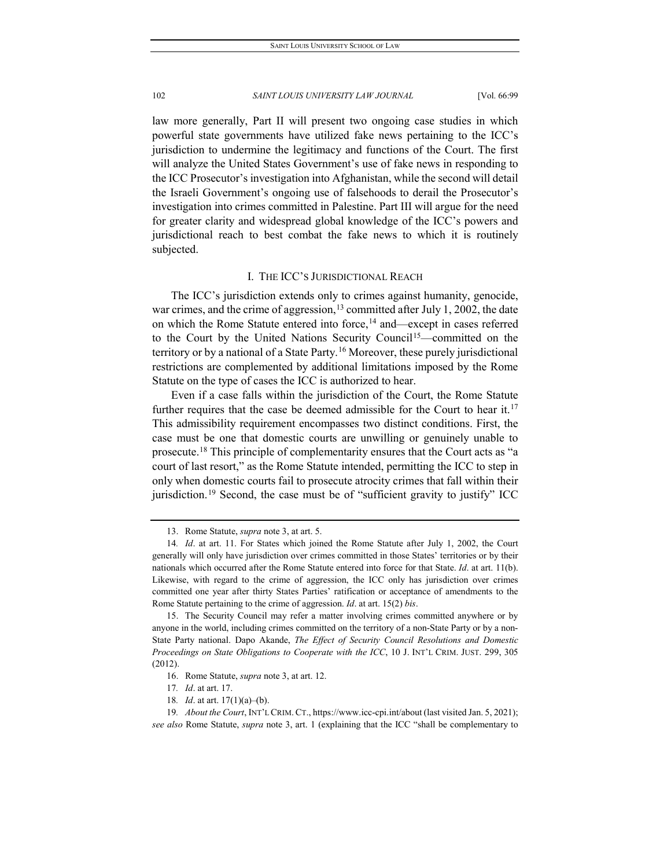law more generally, Part II will present two ongoing case studies in which powerful state governments have utilized fake news pertaining to the ICC's jurisdiction to undermine the legitimacy and functions of the Court. The first will analyze the United States Government's use of fake news in responding to the ICC Prosecutor's investigation into Afghanistan, while the second will detail the Israeli Government's ongoing use of falsehoods to derail the Prosecutor's investigation into crimes committed in Palestine. Part III will argue for the need for greater clarity and widespread global knowledge of the ICC's powers and jurisdictional reach to best combat the fake news to which it is routinely subjected.

# I. THE ICC'S JURISDICTIONAL REACH

The ICC's jurisdiction extends only to crimes against humanity, genocide, war crimes, and the crime of aggression,  $13$  committed after July 1, 2002, the date on which the Rome Statute entered into force,<sup>[14](#page-4-1)</sup> and—except in cases referred to the Court by the United Nations Security Council<sup>[15](#page-4-2)</sup>—committed on the territory or by a national of a State Party.<sup>[16](#page-4-3)</sup> Moreover, these purely jurisdictional restrictions are complemented by additional limitations imposed by the Rome Statute on the type of cases the ICC is authorized to hear.

Even if a case falls within the jurisdiction of the Court, the Rome Statute further requires that the case be deemed admissible for the Court to hear it.<sup>[17](#page-4-4)</sup> This admissibility requirement encompasses two distinct conditions. First, the case must be one that domestic courts are unwilling or genuinely unable to prosecute.[18](#page-4-5) This principle of complementarity ensures that the Court acts as "a court of last resort," as the Rome Statute intended, permitting the ICC to step in only when domestic courts fail to prosecute atrocity crimes that fall within their jurisdiction.<sup>[19](#page-4-6)</sup> Second, the case must be of "sufficient gravity to justify" ICC

<sup>13.</sup> Rome Statute, *supra* note 3, at art. 5.

<span id="page-4-1"></span><span id="page-4-0"></span><sup>14</sup>*. Id*. at art. 11. For States which joined the Rome Statute after July 1, 2002, the Court generally will only have jurisdiction over crimes committed in those States' territories or by their nationals which occurred after the Rome Statute entered into force for that State. *Id*. at art. 11(b). Likewise, with regard to the crime of aggression, the ICC only has jurisdiction over crimes committed one year after thirty States Parties' ratification or acceptance of amendments to the Rome Statute pertaining to the crime of aggression. *Id*. at art. 15(2) *bis*.

<span id="page-4-2"></span><sup>15.</sup> The Security Council may refer a matter involving crimes committed anywhere or by anyone in the world, including crimes committed on the territory of a non-State Party or by a non-State Party national. Dapo Akande, *The Effect of Security Council Resolutions and Domestic Proceedings on State Obligations to Cooperate with the ICC*, 10 J. INT'L CRIM. JUST. 299, 305 (2012).

<sup>16.</sup> Rome Statute, *supra* note 3, at art. 12.

<sup>17</sup>*. Id*. at art. 17.

<sup>18</sup>*. Id*. at art. 17(1)(a)–(b).

<span id="page-4-6"></span><span id="page-4-5"></span><span id="page-4-4"></span><span id="page-4-3"></span><sup>19</sup>*. About the Court*, INT'L CRIM. CT., https://www.icc-cpi.int/about (last visited Jan. 5, 2021); *see also* Rome Statute, *supra* note 3, art. 1 (explaining that the ICC "shall be complementary to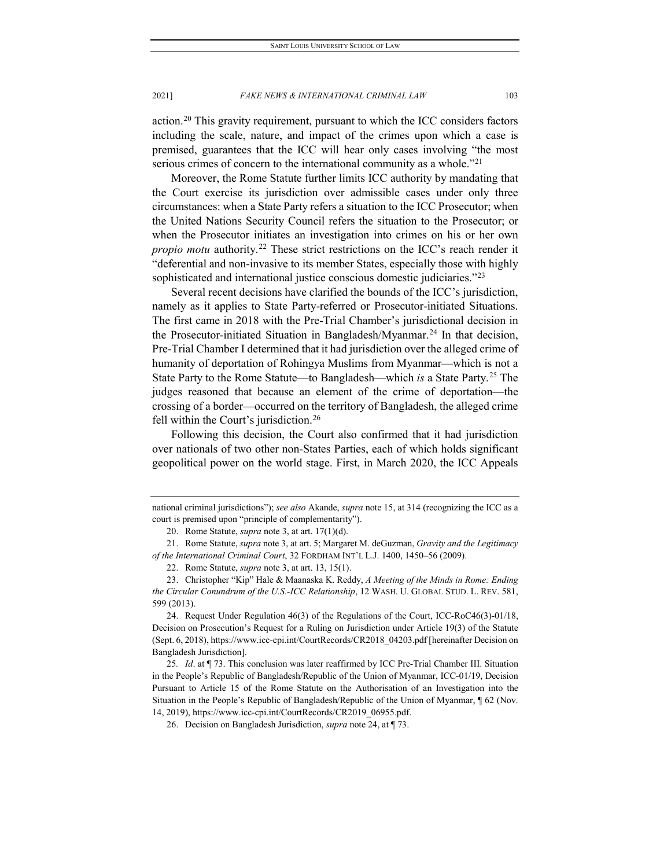action.[20](#page-5-0) This gravity requirement, pursuant to which the ICC considers factors including the scale, nature, and impact of the crimes upon which a case is premised, guarantees that the ICC will hear only cases involving "the most serious crimes of concern to the international community as a whole."<sup>[21](#page-5-1)</sup>

Moreover, the Rome Statute further limits ICC authority by mandating that the Court exercise its jurisdiction over admissible cases under only three circumstances: when a State Party refers a situation to the ICC Prosecutor; when the United Nations Security Council refers the situation to the Prosecutor; or when the Prosecutor initiates an investigation into crimes on his or her own *propio motu* authority.<sup>[22](#page-5-2)</sup> These strict restrictions on the ICC's reach render it "deferential and non-invasive to its member States, especially those with highly sophisticated and international justice conscious domestic judiciaries."<sup>[23](#page-5-3)</sup>

Several recent decisions have clarified the bounds of the ICC's jurisdiction, namely as it applies to State Party-referred or Prosecutor-initiated Situations. The first came in 2018 with the Pre-Trial Chamber's jurisdictional decision in the Prosecutor-initiated Situation in Bangladesh/Myanmar.<sup>[24](#page-5-4)</sup> In that decision, Pre-Trial Chamber I determined that it had jurisdiction over the alleged crime of humanity of deportation of Rohingya Muslims from Myanmar—which is not a State Party to the Rome Statute—to Bangladesh—which *is* a State Party.[25](#page-5-5) The judges reasoned that because an element of the crime of deportation—the crossing of a border—occurred on the territory of Bangladesh, the alleged crime fell within the Court's jurisdiction.<sup>[26](#page-5-6)</sup>

Following this decision, the Court also confirmed that it had jurisdiction over nationals of two other non-States Parties, each of which holds significant geopolitical power on the world stage. First, in March 2020, the ICC Appeals

national criminal jurisdictions"); *see also* Akande, *supra* note 15, at 314 (recognizing the ICC as a court is premised upon "principle of complementarity").

<sup>20.</sup> Rome Statute, *supra* note 3, at art. 17(1)(d).

<span id="page-5-2"></span><span id="page-5-1"></span><span id="page-5-0"></span><sup>21.</sup> Rome Statute, *supra* note 3, at art. 5; Margaret M. deGuzman, *Gravity and the Legitimacy of the International Criminal Court*, 32 FORDHAM INT'L L.J. 1400, 1450–56 (2009).

<sup>22.</sup> Rome Statute, *supra* note 3, at art. 13, 15(1).

<span id="page-5-3"></span><sup>23.</sup> Christopher "Kip" Hale & Maanaska K. Reddy, *A Meeting of the Minds in Rome: Ending the Circular Conundrum of the U.S.-ICC Relationship*, 12 WASH. U. GLOBAL STUD. L. REV. 581, 599 (2013).

<span id="page-5-4"></span><sup>24.</sup> Request Under Regulation 46(3) of the Regulations of the Court, ICC-RoC46(3)-01/18, Decision on Prosecution's Request for a Ruling on Jurisdiction under Article 19(3) of the Statute (Sept. 6, 2018), https://www.icc-cpi.int/CourtRecords/CR2018\_04203.pdf [hereinafter Decision on Bangladesh Jurisdiction].

<span id="page-5-6"></span><span id="page-5-5"></span><sup>25</sup>*. Id*. at ¶ 73. This conclusion was later reaffirmed by ICC Pre-Trial Chamber III. Situation in the People's Republic of Bangladesh/Republic of the Union of Myanmar, ICC-01/19, Decision Pursuant to Article 15 of the Rome Statute on the Authorisation of an Investigation into the Situation in the People's Republic of Bangladesh/Republic of the Union of Myanmar, ¶ 62 (Nov. 14, 2019), https://www.icc-cpi.int/CourtRecords/CR2019\_06955.pdf.

<sup>26.</sup> Decision on Bangladesh Jurisdiction, *supra* note 24, at ¶ 73.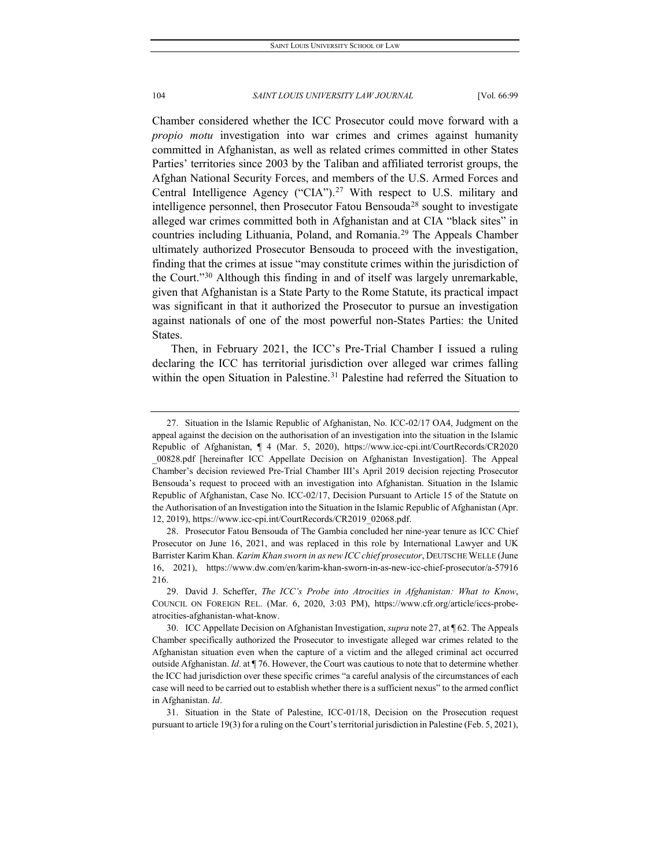Chamber considered whether the ICC Prosecutor could move forward with a *propio motu* investigation into war crimes and crimes against humanity committed in Afghanistan, as well as related crimes committed in other States Parties' territories since 2003 by the Taliban and affiliated terrorist groups, the Afghan National Security Forces, and members of the U.S. Armed Forces and Central Intelligence Agency ("CIA").<sup>[27](#page-6-0)</sup> With respect to U.S. military and intelligence personnel, then Prosecutor Fatou Bensouda<sup>[28](#page-6-1)</sup> sought to investigate alleged war crimes committed both in Afghanistan and at CIA "black sites" in countries including Lithuania, Poland, and Romania.[29](#page-6-2) The Appeals Chamber ultimately authorized Prosecutor Bensouda to proceed with the investigation, finding that the crimes at issue "may constitute crimes within the jurisdiction of the Court."[30](#page-6-3) Although this finding in and of itself was largely unremarkable, given that Afghanistan is a State Party to the Rome Statute, its practical impact was significant in that it authorized the Prosecutor to pursue an investigation against nationals of one of the most powerful non-States Parties: the United States.

Then, in February 2021, the ICC's Pre-Trial Chamber I issued a ruling declaring the ICC has territorial jurisdiction over alleged war crimes falling within the open Situation in Palestine.<sup>[31](#page-6-4)</sup> Palestine had referred the Situation to

<span id="page-6-0"></span><sup>27.</sup> Situation in the Islamic Republic of Afghanistan, No. ICC-02/17 OA4, Judgment on the appeal against the decision on the authorisation of an investigation into the situation in the Islamic Republic of Afghanistan, ¶ 4 (Mar. 5, 2020), https://www.icc-cpi.int/CourtRecords/CR2020 \_00828.pdf [hereinafter ICC Appellate Decision on Afghanistan Investigation]. The Appeal Chamber's decision reviewed Pre-Trial Chamber III's April 2019 decision rejecting Prosecutor Bensouda's request to proceed with an investigation into Afghanistan. Situation in the Islamic Republic of Afghanistan, Case No. ICC-02/17, Decision Pursuant to Article 15 of the Statute on the Authorisation of an Investigation into the Situation in the Islamic Republic of Afghanistan (Apr. 12, 2019), https://www.icc-cpi.int/CourtRecords/CR2019\_02068.pdf.

<span id="page-6-1"></span><sup>28.</sup> Prosecutor Fatou Bensouda of The Gambia concluded her nine-year tenure as ICC Chief Prosecutor on June 16, 2021, and was replaced in this role by International Lawyer and UK Barrister Karim Khan. *Karim Khan sworn in as new ICC chief prosecutor*, DEUTSCHE WELLE (June 16, 2021), https://www.dw.com/en/karim-khan-sworn-in-as-new-icc-chief-prosecutor/a-57916 216.

<span id="page-6-2"></span><sup>29.</sup> David J. Scheffer, *The ICC's Probe into Atrocities in Afghanistan: What to Know*, COUNCIL ON FOREIGN REL. (Mar. 6, 2020, 3:03 PM), https://www.cfr.org/article/iccs-probeatrocities-afghanistan-what-know.

<span id="page-6-3"></span><sup>30.</sup> ICC Appellate Decision on Afghanistan Investigation, *supra* note 27, at ¶ 62. The Appeals Chamber specifically authorized the Prosecutor to investigate alleged war crimes related to the Afghanistan situation even when the capture of a victim and the alleged criminal act occurred outside Afghanistan. *Id*. at ¶ 76. However, the Court was cautious to note that to determine whether the ICC had jurisdiction over these specific crimes "a careful analysis of the circumstances of each case will need to be carried out to establish whether there is a sufficient nexus" to the armed conflict in Afghanistan. *Id*.

<span id="page-6-4"></span><sup>31.</sup> Situation in the State of Palestine, ICC-01/18, Decision on the Prosecution request pursuant to article 19(3) for a ruling on the Court's territorial jurisdiction in Palestine (Feb. 5, 2021),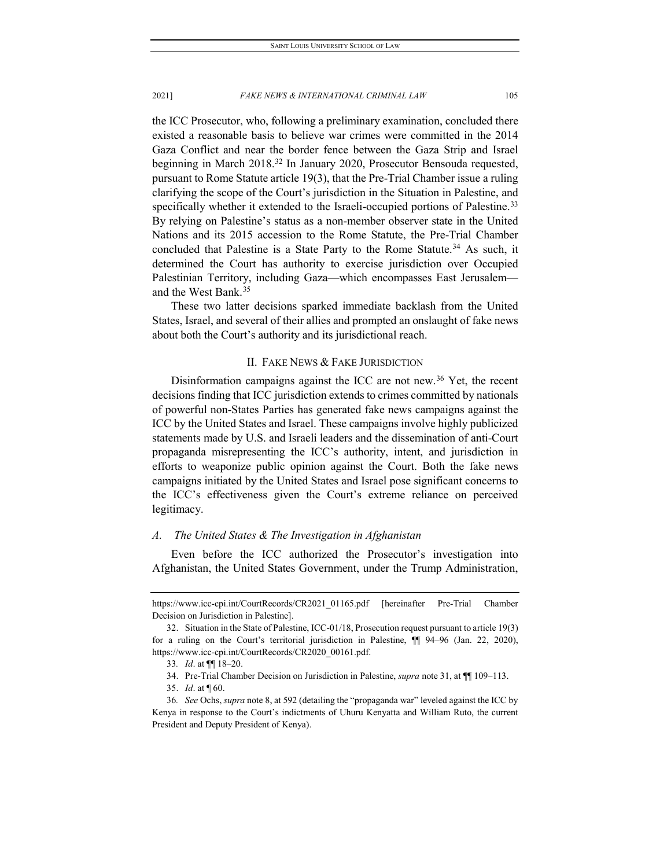the ICC Prosecutor, who, following a preliminary examination, concluded there existed a reasonable basis to believe war crimes were committed in the 2014 Gaza Conflict and near the border fence between the Gaza Strip and Israel beginning in March 2018.[32](#page-7-0) In January 2020, Prosecutor Bensouda requested, pursuant to Rome Statute article 19(3), that the Pre-Trial Chamber issue a ruling clarifying the scope of the Court's jurisdiction in the Situation in Palestine, and specifically whether it extended to the Israeli-occupied portions of Palestine.<sup>[33](#page-7-1)</sup> By relying on Palestine's status as a non-member observer state in the United Nations and its 2015 accession to the Rome Statute, the Pre-Trial Chamber concluded that Palestine is a State Party to the Rome Statute.<sup>[34](#page-7-2)</sup> As such, it determined the Court has authority to exercise jurisdiction over Occupied Palestinian Territory, including Gaza—which encompasses East Jerusalem and the West Bank.[35](#page-7-3)

These two latter decisions sparked immediate backlash from the United States, Israel, and several of their allies and prompted an onslaught of fake news about both the Court's authority and its jurisdictional reach.

# II. FAKE NEWS & FAKE JURISDICTION

Disinformation campaigns against the ICC are not new.[36](#page-7-4) Yet, the recent decisions finding that ICC jurisdiction extends to crimes committed by nationals of powerful non-States Parties has generated fake news campaigns against the ICC by the United States and Israel. These campaigns involve highly publicized statements made by U.S. and Israeli leaders and the dissemination of anti-Court propaganda misrepresenting the ICC's authority, intent, and jurisdiction in efforts to weaponize public opinion against the Court. Both the fake news campaigns initiated by the United States and Israel pose significant concerns to the ICC's effectiveness given the Court's extreme reliance on perceived legitimacy.

# *A. The United States & The Investigation in Afghanistan*

Even before the ICC authorized the Prosecutor's investigation into Afghanistan, the United States Government, under the Trump Administration,

https://www.icc-cpi.int/CourtRecords/CR2021\_01165.pdf [hereinafter Pre-Trial Chamber Decision on Jurisdiction in Palestine].

<span id="page-7-1"></span><span id="page-7-0"></span><sup>32.</sup> Situation in the State of Palestine, ICC-01/18, Prosecution request pursuant to article 19(3) for a ruling on the Court's territorial jurisdiction in Palestine, ¶¶ 94–96 (Jan. 22, 2020), https://www.icc-cpi.int/CourtRecords/CR2020\_00161.pdf.

<sup>33</sup>*. Id*. at ¶¶ 18–20.

<sup>34.</sup> Pre-Trial Chamber Decision on Jurisdiction in Palestine, *supra* note 31, at ¶¶ 109–113.

<sup>35.</sup> *Id*. at ¶ 60.

<span id="page-7-4"></span><span id="page-7-3"></span><span id="page-7-2"></span><sup>36</sup>*. See* Ochs, *supra* note 8, at 592 (detailing the "propaganda war" leveled against the ICC by Kenya in response to the Court's indictments of Uhuru Kenyatta and William Ruto, the current President and Deputy President of Kenya).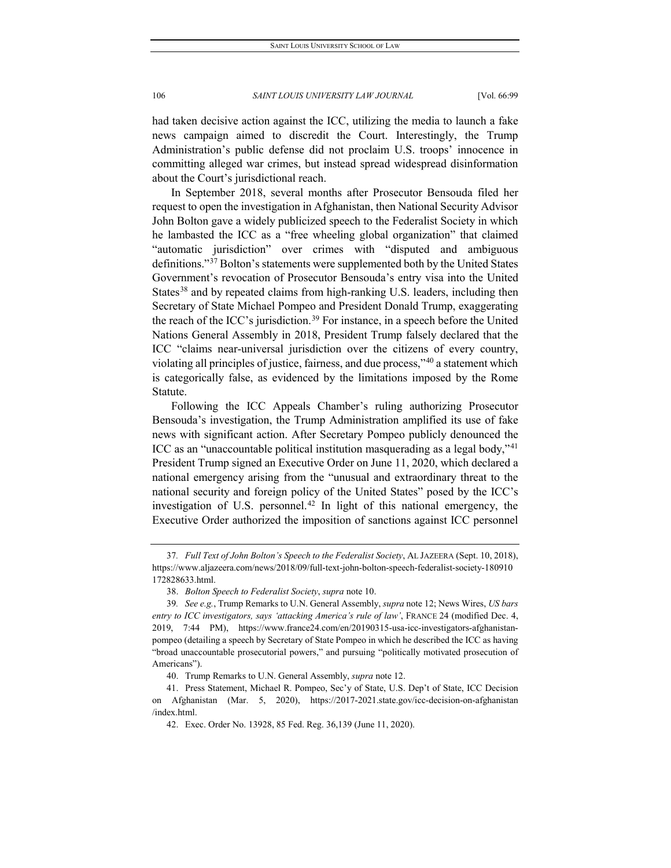had taken decisive action against the ICC, utilizing the media to launch a fake news campaign aimed to discredit the Court. Interestingly, the Trump Administration's public defense did not proclaim U.S. troops' innocence in committing alleged war crimes, but instead spread widespread disinformation about the Court's jurisdictional reach.

In September 2018, several months after Prosecutor Bensouda filed her request to open the investigation in Afghanistan, then National Security Advisor John Bolton gave a widely publicized speech to the Federalist Society in which he lambasted the ICC as a "free wheeling global organization" that claimed "automatic jurisdiction" over crimes with "disputed and ambiguous definitions."[37](#page-8-0) Bolton's statements were supplemented both by the United States Government's revocation of Prosecutor Bensouda's entry visa into the United States<sup>[38](#page-8-1)</sup> and by repeated claims from high-ranking U.S. leaders, including then Secretary of State Michael Pompeo and President Donald Trump, exaggerating the reach of the ICC's jurisdiction.<sup>[39](#page-8-2)</sup> For instance, in a speech before the United Nations General Assembly in 2018, President Trump falsely declared that the ICC "claims near-universal jurisdiction over the citizens of every country, violating all principles of justice, fairness, and due process,"[40](#page-8-3) a statement which is categorically false, as evidenced by the limitations imposed by the Rome Statute.

Following the ICC Appeals Chamber's ruling authorizing Prosecutor Bensouda's investigation, the Trump Administration amplified its use of fake news with significant action. After Secretary Pompeo publicly denounced the ICC as an "unaccountable political institution masquerading as a legal body,"[41](#page-8-4) President Trump signed an Executive Order on June 11, 2020, which declared a national emergency arising from the "unusual and extraordinary threat to the national security and foreign policy of the United States" posed by the ICC's investigation of U.S. personnel.<sup>[42](#page-8-5)</sup> In light of this national emergency, the Executive Order authorized the imposition of sanctions against ICC personnel

<span id="page-8-0"></span><sup>37</sup>*. Full Text of John Bolton's Speech to the Federalist Society*, AL JAZEERA (Sept. 10, 2018), https://www.aljazeera.com/news/2018/09/full-text-john-bolton-speech-federalist-society-180910 172828633.html.

<sup>38.</sup> *Bolton Speech to Federalist Society*, *supra* note 10.

<span id="page-8-2"></span><span id="page-8-1"></span><sup>39</sup>*. See e.g.*, Trump Remarks to U.N. General Assembly, *supra* note 12; News Wires, *US bars entry to ICC investigators, says 'attacking America's rule of law'*, FRANCE 24 (modified Dec. 4, 2019, 7:44 PM), https://www.france24.com/en/20190315-usa-icc-investigators-afghanistanpompeo (detailing a speech by Secretary of State Pompeo in which he described the ICC as having "broad unaccountable prosecutorial powers," and pursuing "politically motivated prosecution of Americans").

<sup>40.</sup> Trump Remarks to U.N. General Assembly, *supra* note 12.

<span id="page-8-5"></span><span id="page-8-4"></span><span id="page-8-3"></span><sup>41.</sup> Press Statement, Michael R. Pompeo, Sec'y of State, U.S. Dep't of State, ICC Decision on Afghanistan (Mar. 5, 2020), https://2017-2021.state.gov/icc-decision-on-afghanistan /index.html.

<sup>42.</sup> Exec. Order No. 13928, 85 Fed. Reg. 36,139 (June 11, 2020).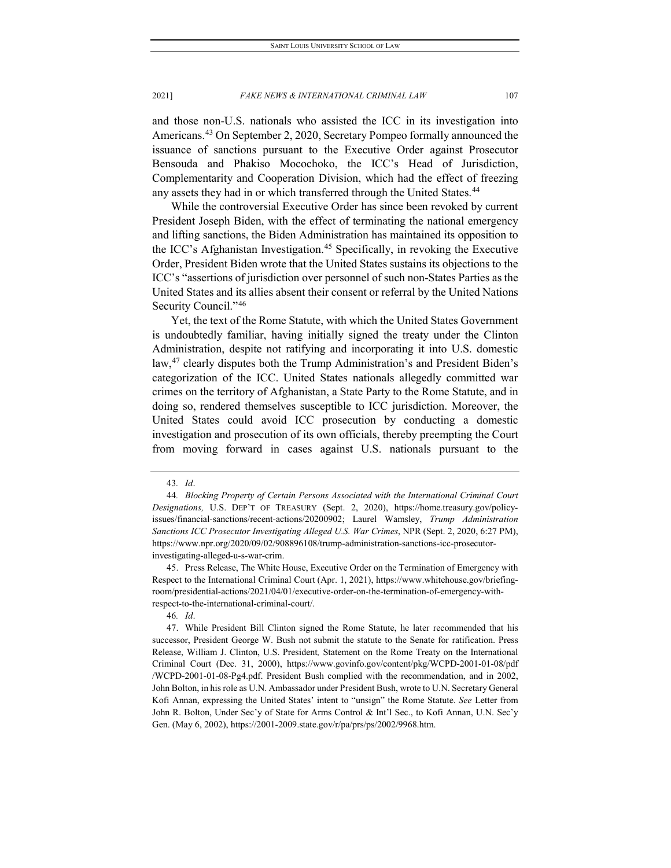and those non-U.S. nationals who assisted the ICC in its investigation into Americans.[43](#page-9-0) On September 2, 2020, Secretary Pompeo formally announced the issuance of sanctions pursuant to the Executive Order against Prosecutor Bensouda and Phakiso Mocochoko, the ICC's Head of Jurisdiction, Complementarity and Cooperation Division, which had the effect of freezing any assets they had in or which transferred through the United States.<sup>[44](#page-9-1)</sup>

While the controversial Executive Order has since been revoked by current President Joseph Biden, with the effect of terminating the national emergency and lifting sanctions, the Biden Administration has maintained its opposition to the ICC's Afghanistan Investigation.<sup>[45](#page-9-2)</sup> Specifically, in revoking the Executive Order, President Biden wrote that the United States sustains its objections to the ICC's "assertions of jurisdiction over personnel of such non-States Parties as the United States and its allies absent their consent or referral by the United Nations Security Council."[46](#page-9-3)

Yet, the text of the Rome Statute, with which the United States Government is undoubtedly familiar, having initially signed the treaty under the Clinton Administration, despite not ratifying and incorporating it into U.S. domestic law,[47](#page-9-4) clearly disputes both the Trump Administration's and President Biden's categorization of the ICC. United States nationals allegedly committed war crimes on the territory of Afghanistan, a State Party to the Rome Statute, and in doing so, rendered themselves susceptible to ICC jurisdiction. Moreover, the United States could avoid ICC prosecution by conducting a domestic investigation and prosecution of its own officials, thereby preempting the Court from moving forward in cases against U.S. nationals pursuant to the

<span id="page-9-2"></span>45. Press Release, The White House, Executive Order on the Termination of Emergency with Respect to the International Criminal Court (Apr. 1, 2021), https://www.whitehouse.gov/briefingroom/presidential-actions/2021/04/01/executive-order-on-the-termination-of-emergency-withrespect-to-the-international-criminal-court/.

46*. Id*.

<sup>43</sup>*. Id*.

<span id="page-9-1"></span><span id="page-9-0"></span><sup>44</sup>*. Blocking Property of Certain Persons Associated with the International Criminal Court Designations,* U.S. DEP'T OF TREASURY (Sept. 2, 2020), https://home.treasury.gov/policyissues/financial-sanctions/recent-actions/20200902; Laurel Wamsley, *Trump Administration Sanctions ICC Prosecutor Investigating Alleged U.S. War Crimes*, NPR (Sept. 2, 2020, 6:27 PM), https://www.npr.org/2020/09/02/908896108/trump-administration-sanctions-icc-prosecutorinvestigating-alleged-u-s-war-crim.

<span id="page-9-4"></span><span id="page-9-3"></span><sup>47.</sup> While President Bill Clinton signed the Rome Statute, he later recommended that his successor, President George W. Bush not submit the statute to the Senate for ratification. Press Release, William J. Clinton, U.S. President*,* Statement on the Rome Treaty on the International Criminal Court (Dec. 31, 2000), https://www.govinfo.gov/content/pkg/WCPD-2001-01-08/pdf /WCPD-2001-01-08-Pg4.pdf. President Bush complied with the recommendation, and in 2002, John Bolton, in his role as U.N. Ambassador under President Bush, wrote to U.N. Secretary General Kofi Annan, expressing the United States' intent to "unsign" the Rome Statute. *See* Letter from John R. Bolton, Under Sec'y of State for Arms Control & Int'l Sec., to Kofi Annan, U.N. Sec'y Gen. (May 6, 2002), https://2001-2009.state.gov/r/pa/prs/ps/2002/9968.htm.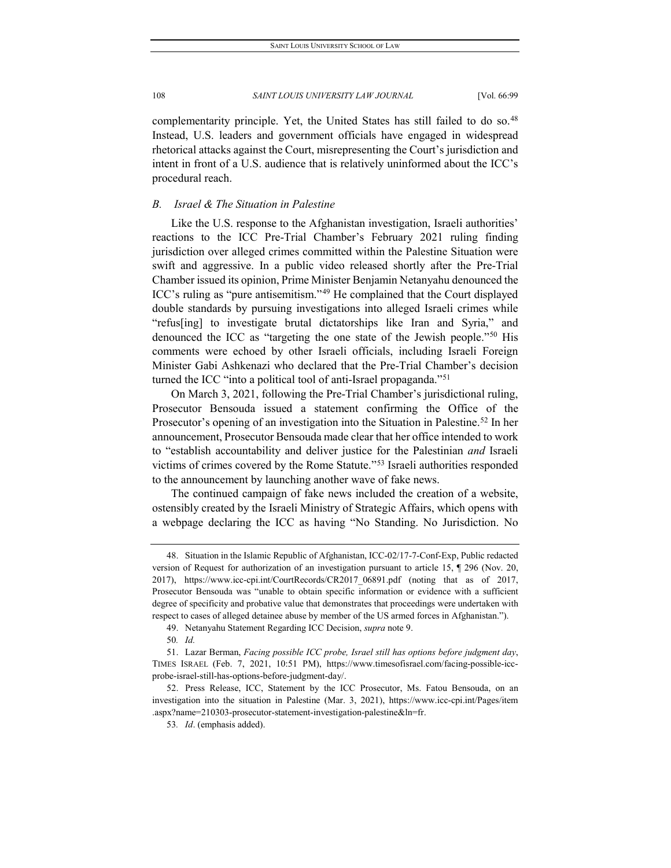complementarity principle. Yet, the United States has still failed to do so.<sup>[48](#page-10-0)</sup> Instead, U.S. leaders and government officials have engaged in widespread rhetorical attacks against the Court, misrepresenting the Court's jurisdiction and intent in front of a U.S. audience that is relatively uninformed about the ICC's procedural reach.

## *B. Israel & The Situation in Palestine*

Like the U.S. response to the Afghanistan investigation, Israeli authorities' reactions to the ICC Pre-Trial Chamber's February 2021 ruling finding jurisdiction over alleged crimes committed within the Palestine Situation were swift and aggressive. In a public video released shortly after the Pre-Trial Chamber issued its opinion, Prime Minister Benjamin Netanyahu denounced the ICC's ruling as "pure antisemitism."[49](#page-10-1) He complained that the Court displayed double standards by pursuing investigations into alleged Israeli crimes while "refus[ing] to investigate brutal dictatorships like Iran and Syria," and denounced the ICC as "targeting the one state of the Jewish people."[50](#page-10-2) His comments were echoed by other Israeli officials, including Israeli Foreign Minister Gabi Ashkenazi who declared that the Pre-Trial Chamber's decision turned the ICC "into a political tool of anti-Israel propaganda."<sup>[51](#page-10-3)</sup>

On March 3, 2021, following the Pre-Trial Chamber's jurisdictional ruling, Prosecutor Bensouda issued a statement confirming the Office of the Prosecutor's opening of an investigation into the Situation in Palestine.<sup>52</sup> In her announcement, Prosecutor Bensouda made clear that her office intended to work to "establish accountability and deliver justice for the Palestinian *and* Israeli victims of crimes covered by the Rome Statute."[53](#page-10-5) Israeli authorities responded to the announcement by launching another wave of fake news.

The continued campaign of fake news included the creation of a website, ostensibly created by the Israeli Ministry of Strategic Affairs, which opens with a webpage declaring the ICC as having "No Standing. No Jurisdiction. No

<span id="page-10-0"></span><sup>48.</sup> Situation in the Islamic Republic of Afghanistan, ICC-02/17-7-Conf-Exp, Public redacted version of Request for authorization of an investigation pursuant to article 15, ¶ 296 (Nov. 20, 2017), https://www.icc-cpi.int/CourtRecords/CR2017\_06891.pdf (noting that as of 2017, Prosecutor Bensouda was "unable to obtain specific information or evidence with a sufficient degree of specificity and probative value that demonstrates that proceedings were undertaken with respect to cases of alleged detainee abuse by member of the US armed forces in Afghanistan.").

<sup>49.</sup> Netanyahu Statement Regarding ICC Decision, *supra* note 9.

<sup>50</sup>*. Id.*

<span id="page-10-3"></span><span id="page-10-2"></span><span id="page-10-1"></span><sup>51.</sup> Lazar Berman, *Facing possible ICC probe, Israel still has options before judgment day*, TIMES ISRAEL (Feb. 7, 2021, 10:51 PM), https://www.timesofisrael.com/facing-possible-iccprobe-israel-still-has-options-before-judgment-day/.

<span id="page-10-5"></span><span id="page-10-4"></span><sup>52.</sup> Press Release, ICC, Statement by the ICC Prosecutor, Ms. Fatou Bensouda, on an investigation into the situation in Palestine (Mar. 3, 2021), https://www.icc-cpi.int/Pages/item .aspx?name=210303-prosecutor-statement-investigation-palestine&ln=fr.

<sup>53</sup>*. Id*. (emphasis added).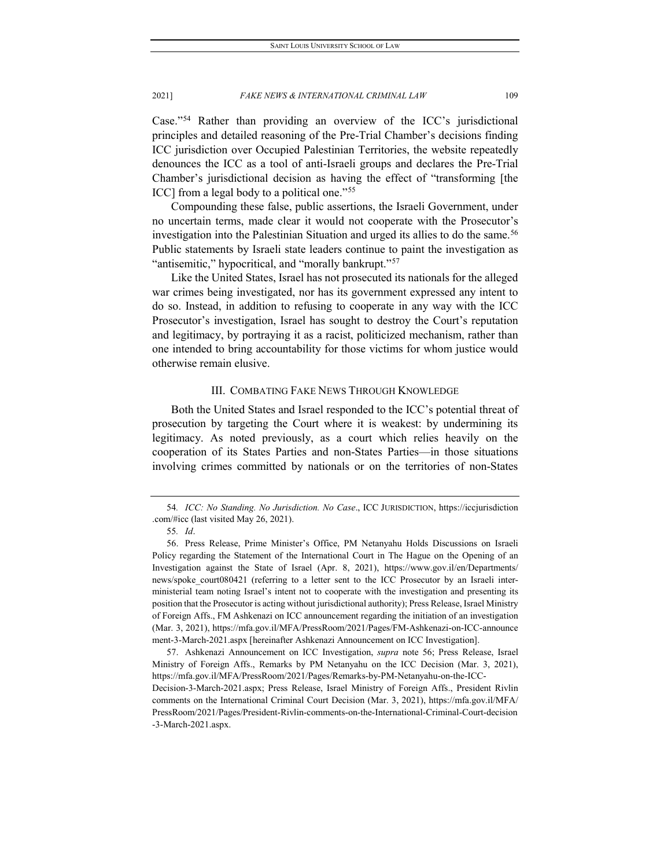Case."[54](#page-11-0) Rather than providing an overview of the ICC's jurisdictional principles and detailed reasoning of the Pre-Trial Chamber's decisions finding ICC jurisdiction over Occupied Palestinian Territories, the website repeatedly denounces the ICC as a tool of anti-Israeli groups and declares the Pre-Trial Chamber's jurisdictional decision as having the effect of "transforming [the ICC] from a legal body to a political one."[55](#page-11-1)

Compounding these false, public assertions, the Israeli Government, under no uncertain terms, made clear it would not cooperate with the Prosecutor's investigation into the Palestinian Situation and urged its allies to do the same.<sup>[56](#page-11-2)</sup> Public statements by Israeli state leaders continue to paint the investigation as "antisemitic," hypocritical, and "morally bankrupt."<sup>[57](#page-11-3)</sup>

Like the United States, Israel has not prosecuted its nationals for the alleged war crimes being investigated, nor has its government expressed any intent to do so. Instead, in addition to refusing to cooperate in any way with the ICC Prosecutor's investigation, Israel has sought to destroy the Court's reputation and legitimacy, by portraying it as a racist, politicized mechanism, rather than one intended to bring accountability for those victims for whom justice would otherwise remain elusive.

## III. COMBATING FAKE NEWS THROUGH KNOWLEDGE

Both the United States and Israel responded to the ICC's potential threat of prosecution by targeting the Court where it is weakest: by undermining its legitimacy. As noted previously, as a court which relies heavily on the cooperation of its States Parties and non-States Parties—in those situations involving crimes committed by nationals or on the territories of non-States

<span id="page-11-3"></span>57. Ashkenazi Announcement on ICC Investigation, *supra* note 56; Press Release, Israel Ministry of Foreign Affs., Remarks by PM Netanyahu on the ICC Decision (Mar. 3, 2021), https://mfa.gov.il/MFA/PressRoom/2021/Pages/Remarks-by-PM-Netanyahu-on-the-ICC-

Decision-3-March-2021.aspx; Press Release, Israel Ministry of Foreign Affs., President Rivlin comments on the International Criminal Court Decision (Mar. 3, 2021), https://mfa.gov.il/MFA/ PressRoom/2021/Pages/President-Rivlin-comments-on-the-International-Criminal-Court-decision -3-March-2021.aspx.

<span id="page-11-0"></span><sup>54</sup>*. ICC: No Standing. No Jurisdiction. No Case*., ICC JURISDICTION, https://iccjurisdiction .com/#icc (last visited May 26, 2021).

<sup>55</sup>*. Id*.

<span id="page-11-2"></span><span id="page-11-1"></span><sup>56.</sup> Press Release, Prime Minister's Office, PM Netanyahu Holds Discussions on Israeli Policy regarding the Statement of the International Court in The Hague on the Opening of an Investigation against the State of Israel (Apr. 8, 2021), https://www.gov.il/en/Departments/ news/spoke court080421 (referring to a letter sent to the ICC Prosecutor by an Israeli interministerial team noting Israel's intent not to cooperate with the investigation and presenting its position that the Prosecutor is acting without jurisdictional authority); Press Release, Israel Ministry of Foreign Affs., FM Ashkenazi on ICC announcement regarding the initiation of an investigation (Mar. 3, 2021), https://mfa.gov.il/MFA/PressRoom/2021/Pages/FM-Ashkenazi-on-ICC-announce ment-3-March-2021.aspx [hereinafter Ashkenazi Announcement on ICC Investigation].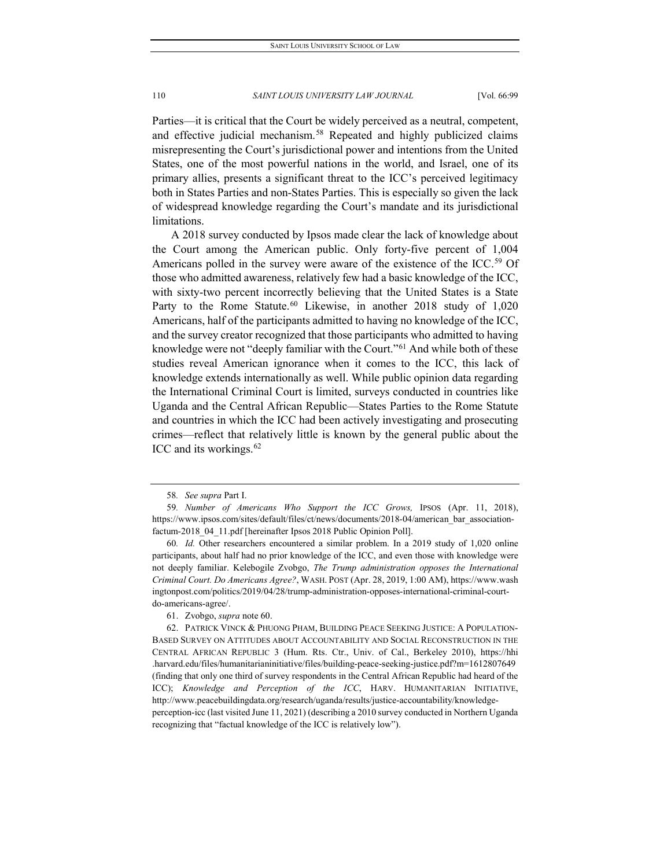Parties—it is critical that the Court be widely perceived as a neutral, competent, and effective judicial mechanism.<sup>[58](#page-12-0)</sup> Repeated and highly publicized claims misrepresenting the Court's jurisdictional power and intentions from the United States, one of the most powerful nations in the world, and Israel, one of its primary allies, presents a significant threat to the ICC's perceived legitimacy both in States Parties and non-States Parties. This is especially so given the lack of widespread knowledge regarding the Court's mandate and its jurisdictional limitations.

A 2018 survey conducted by Ipsos made clear the lack of knowledge about the Court among the American public. Only forty-five percent of 1,004 Americans polled in the survey were aware of the existence of the ICC.<sup>[59](#page-12-1)</sup> Of those who admitted awareness, relatively few had a basic knowledge of the ICC, with sixty-two percent incorrectly believing that the United States is a State Party to the Rome Statute.<sup>[60](#page-12-2)</sup> Likewise, in another 2018 study of 1,020 Americans, half of the participants admitted to having no knowledge of the ICC, and the survey creator recognized that those participants who admitted to having knowledge were not "deeply familiar with the Court."<sup>[61](#page-12-3)</sup> And while both of these studies reveal American ignorance when it comes to the ICC, this lack of knowledge extends internationally as well. While public opinion data regarding the International Criminal Court is limited, surveys conducted in countries like Uganda and the Central African Republic—States Parties to the Rome Statute and countries in which the ICC had been actively investigating and prosecuting crimes—reflect that relatively little is known by the general public about the ICC and its workings.<sup>[62](#page-12-4)</sup>

<sup>58</sup>*. See supra* Part I.

<span id="page-12-1"></span><span id="page-12-0"></span><sup>59</sup>*. Number of Americans Who Support the ICC Grows,* IPSOS (Apr. 11, 2018), https://www.ipsos.com/sites/default/files/ct/news/documents/2018-04/american\_bar\_associationfactum-2018\_04\_11.pdf [hereinafter Ipsos 2018 Public Opinion Poll].

<span id="page-12-2"></span><sup>60</sup>*. Id.* Other researchers encountered a similar problem. In a 2019 study of 1,020 online participants, about half had no prior knowledge of the ICC, and even those with knowledge were not deeply familiar. Kelebogile Zvobgo, *The Trump administration opposes the International Criminal Court. Do Americans Agree?*, WASH. POST (Apr. 28, 2019, 1:00 AM), https://www.wash ingtonpost.com/politics/2019/04/28/trump-administration-opposes-international-criminal-courtdo-americans-agree/.

<sup>61.</sup> Zvobgo, *supra* note 60.

<span id="page-12-4"></span><span id="page-12-3"></span><sup>62.</sup> PATRICK VINCK & PHUONG PHAM, BUILDING PEACE SEEKING JUSTICE: A POPULATION-BASED SURVEY ON ATTITUDES ABOUT ACCOUNTABILITY AND SOCIAL RECONSTRUCTION IN THE CENTRAL AFRICAN REPUBLIC 3 (Hum. Rts. Ctr., Univ. of Cal., Berkeley 2010), https://hhi .harvard.edu/files/humanitarianinitiative/files/building-peace-seeking-justice.pdf?m=1612807649 (finding that only one third of survey respondents in the Central African Republic had heard of the ICC); *Knowledge and Perception of the ICC*, HARV. HUMANITARIAN INITIATIVE, http://www.peacebuildingdata.org/research/uganda/results/justice-accountability/knowledgeperception-icc (last visited June 11, 2021) (describing a 2010 survey conducted in Northern Uganda recognizing that "factual knowledge of the ICC is relatively low").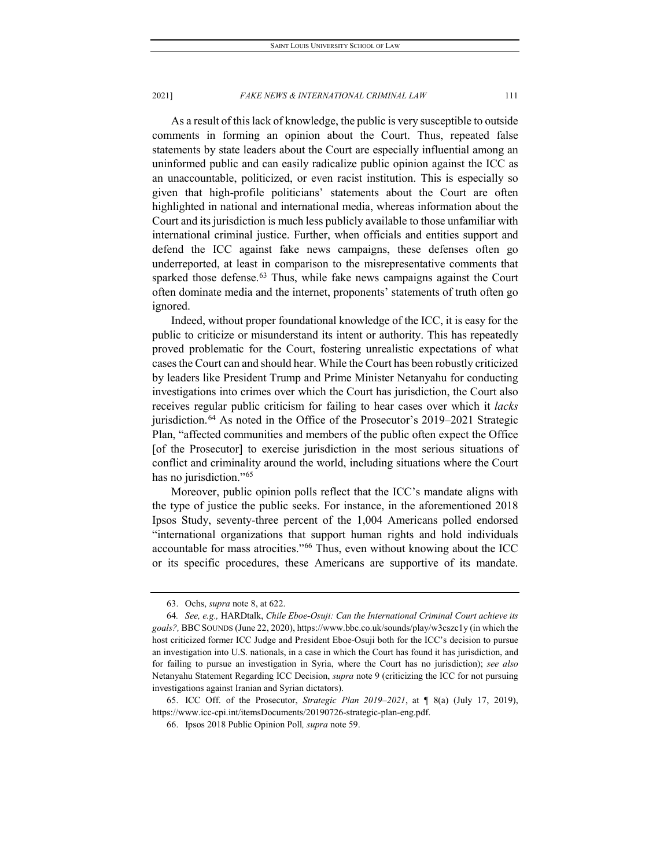As a result of this lack of knowledge, the public is very susceptible to outside comments in forming an opinion about the Court. Thus, repeated false statements by state leaders about the Court are especially influential among an uninformed public and can easily radicalize public opinion against the ICC as an unaccountable, politicized, or even racist institution. This is especially so given that high-profile politicians' statements about the Court are often highlighted in national and international media, whereas information about the Court and its jurisdiction is much less publicly available to those unfamiliar with international criminal justice. Further, when officials and entities support and defend the ICC against fake news campaigns, these defenses often go underreported, at least in comparison to the misrepresentative comments that sparked those defense.<sup>[63](#page-13-0)</sup> Thus, while fake news campaigns against the Court often dominate media and the internet, proponents' statements of truth often go ignored.

Indeed, without proper foundational knowledge of the ICC, it is easy for the public to criticize or misunderstand its intent or authority. This has repeatedly proved problematic for the Court, fostering unrealistic expectations of what cases the Court can and should hear. While the Court has been robustly criticized by leaders like President Trump and Prime Minister Netanyahu for conducting investigations into crimes over which the Court has jurisdiction, the Court also receives regular public criticism for failing to hear cases over which it *lacks* jurisdiction.<sup>[64](#page-13-1)</sup> As noted in the Office of the Prosecutor's 2019–2021 Strategic Plan, "affected communities and members of the public often expect the Office [of the Prosecutor] to exercise jurisdiction in the most serious situations of conflict and criminality around the world, including situations where the Court has no jurisdiction."<sup>[65](#page-13-2)</sup>

Moreover, public opinion polls reflect that the ICC's mandate aligns with the type of justice the public seeks. For instance, in the aforementioned 2018 Ipsos Study, seventy-three percent of the 1,004 Americans polled endorsed "international organizations that support human rights and hold individuals accountable for mass atrocities."[66](#page-13-3) Thus, even without knowing about the ICC or its specific procedures, these Americans are supportive of its mandate.

<sup>63.</sup> Ochs, *supra* note 8, at 622.

<span id="page-13-1"></span><span id="page-13-0"></span><sup>64</sup>*. See, e.g.,* HARDtalk, *Chile Eboe-Osuji: Can the International Criminal Court achieve its goals?,* BBCSOUNDS (June 22, 2020), https://www.bbc.co.uk/sounds/play/w3cszc1y (in which the host criticized former ICC Judge and President Eboe-Osuji both for the ICC's decision to pursue an investigation into U.S. nationals, in a case in which the Court has found it has jurisdiction, and for failing to pursue an investigation in Syria, where the Court has no jurisdiction); *see also* Netanyahu Statement Regarding ICC Decision, *supra* note 9 (criticizing the ICC for not pursuing investigations against Iranian and Syrian dictators).

<span id="page-13-3"></span><span id="page-13-2"></span><sup>65.</sup> ICC Off. of the Prosecutor, *Strategic Plan 2019–2021*, at ¶ 8(a) (July 17, 2019), https://www.icc-cpi.int/itemsDocuments/20190726-strategic-plan-eng.pdf.

<sup>66.</sup> Ipsos 2018 Public Opinion Poll*, supra* note 59.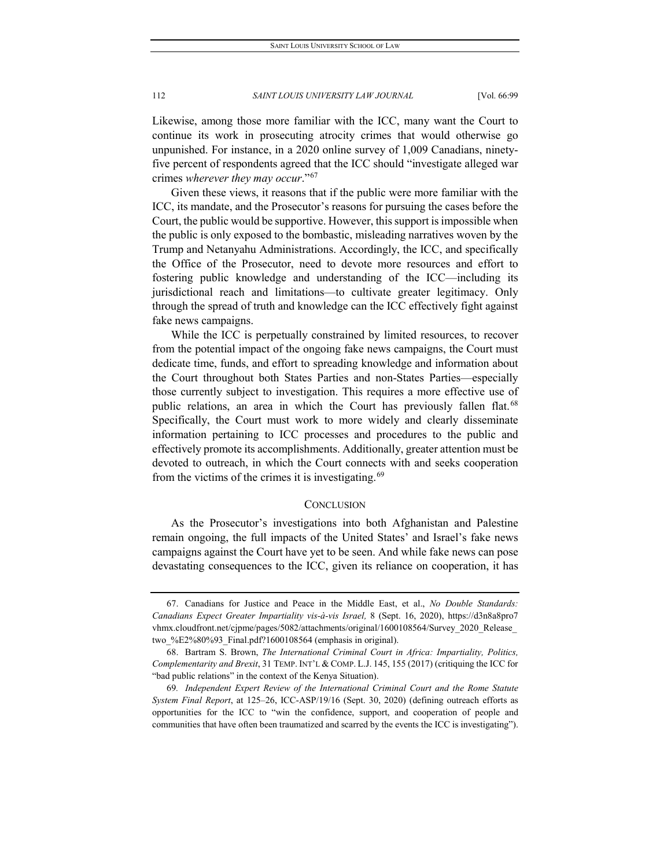Likewise, among those more familiar with the ICC, many want the Court to continue its work in prosecuting atrocity crimes that would otherwise go unpunished. For instance, in a 2020 online survey of 1,009 Canadians, ninetyfive percent of respondents agreed that the ICC should "investigate alleged war crimes *wherever they may occur*."[67](#page-14-0)

Given these views, it reasons that if the public were more familiar with the ICC, its mandate, and the Prosecutor's reasons for pursuing the cases before the Court, the public would be supportive. However, this support is impossible when the public is only exposed to the bombastic, misleading narratives woven by the Trump and Netanyahu Administrations. Accordingly, the ICC, and specifically the Office of the Prosecutor, need to devote more resources and effort to fostering public knowledge and understanding of the ICC—including its jurisdictional reach and limitations—to cultivate greater legitimacy. Only through the spread of truth and knowledge can the ICC effectively fight against fake news campaigns.

While the ICC is perpetually constrained by limited resources, to recover from the potential impact of the ongoing fake news campaigns, the Court must dedicate time, funds, and effort to spreading knowledge and information about the Court throughout both States Parties and non-States Parties—especially those currently subject to investigation. This requires a more effective use of public relations, an area in which the Court has previously fallen flat.<sup>[68](#page-14-1)</sup> Specifically, the Court must work to more widely and clearly disseminate information pertaining to ICC processes and procedures to the public and effectively promote its accomplishments. Additionally, greater attention must be devoted to outreach, in which the Court connects with and seeks cooperation from the victims of the crimes it is investigating.<sup>[69](#page-14-2)</sup>

#### **CONCLUSION**

As the Prosecutor's investigations into both Afghanistan and Palestine remain ongoing, the full impacts of the United States' and Israel's fake news campaigns against the Court have yet to be seen. And while fake news can pose devastating consequences to the ICC, given its reliance on cooperation, it has

<span id="page-14-0"></span><sup>67.</sup> Canadians for Justice and Peace in the Middle East, et al., *No Double Standards: Canadians Expect Greater Impartiality vis-à-vis Israel,* 8 (Sept. 16, 2020), https://d3n8a8pro7 vhmx.cloudfront.net/cjpme/pages/5082/attachments/original/1600108564/Survey\_2020\_Release\_ two\_%E2%80%93\_Final.pdf?1600108564 (emphasis in original).

<span id="page-14-1"></span><sup>68.</sup> Bartram S. Brown, *The International Criminal Court in Africa: Impartiality, Politics, Complementarity and Brexit*, 31 TEMP. INT'L & COMP. L.J. 145, 155 (2017) (critiquing the ICC for "bad public relations" in the context of the Kenya Situation).

<span id="page-14-2"></span><sup>69</sup>*. Independent Expert Review of the International Criminal Court and the Rome Statute System Final Report*, at 125–26, ICC-ASP/19/16 (Sept. 30, 2020) (defining outreach efforts as opportunities for the ICC to "win the confidence, support, and cooperation of people and communities that have often been traumatized and scarred by the events the ICC is investigating").